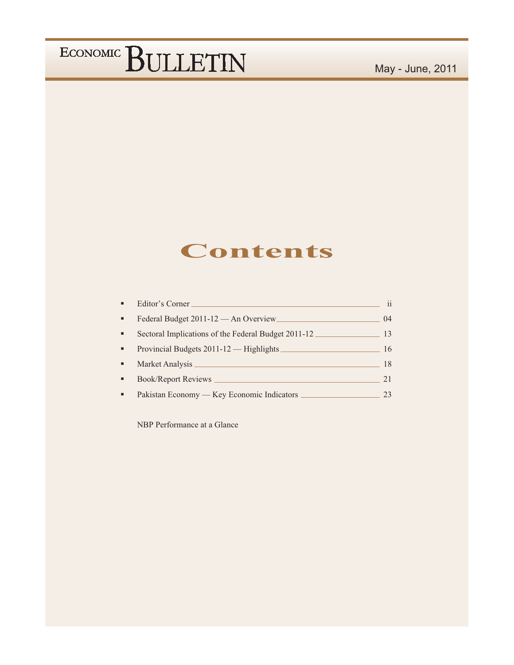### **Contents**

|   | Editor's Corner                                      | $\mathbf{ii}$ |
|---|------------------------------------------------------|---------------|
| ٠ | Federal Budget 2011-12 - An Overview                 | 04            |
| ٠ | Sectoral Implications of the Federal Budget 2011-12. | 13            |
| ٠ | Provincial Budgets 2011-12 - Highlights              | 16            |
|   | Market Analysis                                      | 18            |
|   | Book/Report Reviews _____                            | 21            |
|   | Pakistan Economy — Key Economic Indicators           | 23            |

NBP Performance at a Glance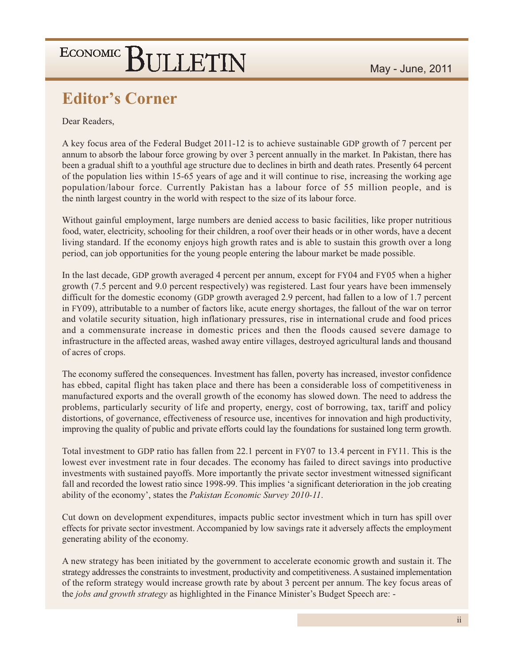### **Editor's Corner**

Dear Readers,

A key focus area of the Federal Budget 2011-12 is to achieve sustainable GDP growth of 7 percent per annum to absorb the labour force growing by over 3 percent annually in the market. In Pakistan, there has been a gradual shift to a youthful age structure due to declines in birth and death rates. Presently 64 percent of the population lies within 15-65 years of age and it will continue to rise, increasing the working age population/labour force. Currently Pakistan has a labour force of 55 million people, and is the ninth largest country in the world with respect to the size of its labour force.

Without gainful employment, large numbers are denied access to basic facilities, like proper nutritious food, water, electricity, schooling for their children, a roof over their heads or in other words, have a decent living standard. If the economy enjoys high growth rates and is able to sustain this growth over a long period, can job opportunities for the young people entering the labour market be made possible.

In the last decade, GDP growth averaged 4 percent per annum, except for FY04 and FY05 when a higher growth (7.5 percent and 9.0 percent respectively) was registered. Last four years have been immensely difficult for the domestic economy (GDP growth averaged 2.9 percent, had fallen to a low of 1.7 percent in FY09), attributable to a number of factors like, acute energy shortages, the fallout of the war on terror and volatile security situation, high inflationary pressures, rise in international crude and food prices and a commensurate increase in domestic prices and then the floods caused severe damage to infrastructure in the affected areas, washed away entire villages, destroyed agricultural lands and thousand of acres of crops.

The economy suffered the consequences. Investment has fallen, poverty has increased, investor confidence has ebbed, capital flight has taken place and there has been a considerable loss of competitiveness in manufactured exports and the overall growth of the economy has slowed down. The need to address the problems, particularly security of life and property, energy, cost of borrowing, tax, tariff and policy distortions, of governance, effectiveness of resource use, incentives for innovation and high productivity, improving the quality of public and private efforts could lay the foundations for sustained long term growth.

Total investment to GDP ratio has fallen from 22.1 percent in FY07 to 13.4 percent in FY11. This is the lowest ever investment rate in four decades. The economy has failed to direct savings into productive investments with sustained payoffs. More importantly the private sector investment witnessed significant fall and recorded the lowest ratio since 1998-99. This implies 'a significant deterioration in the job creating ability of the economy', states the Pakistan Economic Survey 2010-11.

Cut down on development expenditures, impacts public sector investment which in turn has spill over effects for private sector investment. Accompanied by low savings rate it adversely affects the employment generating ability of the economy.

A new strategy has been initiated by the government to accelerate economic growth and sustain it. The strategy addresses the constraints to investment, productivity and competitiveness. A sustained implementation of the reform strategy would increase growth rate by about 3 percent per annum. The key focus areas of the *jobs and growth strategy* as highlighted in the Finance Minister's Budget Speech are: -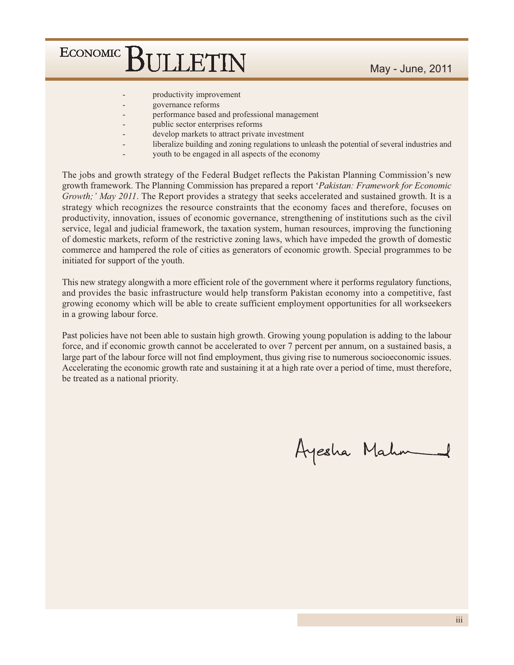- productivity improvement
- governance reforms
- performance based and professional management
- public sector enterprises reforms
- develop markets to attract private investment
- liberalize building and zoning regulations to unleash the potential of several industries and
- youth to be engaged in all aspects of the economy

The jobs and growth strategy of the Federal Budget reflects the Pakistan Planning Commission's new growth framework. The Planning Commission has prepared a report 'Pakistan: Framework for Economic Growth;' May 2011. The Report provides a strategy that seeks accelerated and sustained growth. It is a strategy which recognizes the resource constraints that the economy faces and therefore, focuses on productivity, innovation, issues of economic governance, strengthening of institutions such as the civil service, legal and judicial framework, the taxation system, human resources, improving the functioning of domestic markets, reform of the restrictive zoning laws, which have impeded the growth of domestic commerce and hampered the role of cities as generators of economic growth. Special programmes to be initiated for support of the youth.

This new strategy alongwith a more efficient role of the government where it performs regulatory functions, and provides the basic infrastructure would help transform Pakistan economy into a competitive, fast growing economy which will be able to create sufficient employment opportunities for all workseekers in a growing labour force.

Past policies have not been able to sustain high growth. Growing young population is adding to the labour force, and if economic growth cannot be accelerated to over 7 percent per annum, on a sustained basis, a large part of the labour force will not find employment, thus giving rise to numerous socioeconomic issues. Accelerating the economic growth rate and sustaining it at a high rate over a period of time, must therefore, be treated as a national priority.

Ayesha Mahm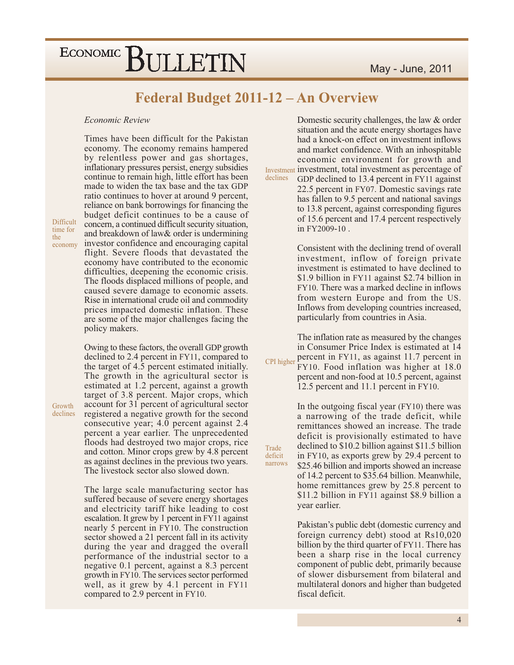### Federal Budget 2011-12 - An Overview

Trade

deficit

narrows

#### Economic Review

Difficult time for the economy

Growth

declines

Times have been difficult for the Pakistan economy. The economy remains hampered by relentless power and gas shortages, inflationary pressures persist, energy subsidies continue to remain high, little effort has been made to widen the tax base and the tax GDP ratio continues to hover at around 9 percent, reliance on bank borrowings for financing the budget deficit continues to be a cause of concern, a continued difficult security situation, and breakdown of law& order is undermining investor confidence and encouraging capital flight. Severe floods that devastated the economy have contributed to the economic difficulties, deepening the economic crisis. The floods displaced millions of people, and caused severe damage to economic assets. Rise in international crude oil and commodity prices impacted domestic inflation. These are some of the major challenges facing the policy makers.

Owing to these factors, the overall GDP growth declined to 2.4 percent in FY11, compared to the target of 4.5 percent estimated initially. The growth in the agricultural sector is estimated at 1.2 percent, against a growth target of 3.8 percent. Major crops, which account for 31 percent of agricultural sector registered a negative growth for the second consecutive year; 4.0 percent against 2.4 percent a year earlier. The unprecedented floods had destroyed two major crops, rice and cotton. Minor crops grew by 4.8 percent as against declines in the previous two years. The livestock sector also slowed down.

The large scale manufacturing sector has suffered because of severe energy shortages and electricity tariff hike leading to cost escalation. It grew by 1 percent in FY11 against nearly 5 percent in FY10. The construction sector showed a 21 percent fall in its activity during the year and dragged the overall performance of the industrial sector to a negative 0.1 percent, against a 8.3 percent growth in FY10. The services sector performed well, as it grew by 4.1 percent in FY11 compared to 2.9 percent in FY10.

Domestic security challenges, the law & order situation and the acute energy shortages have had a knock-on effect on investment inflows and market confidence. With an inhospitable economic environment for growth and Investment investment, total investment as percentage of declines GDP declined to 13.4 percent in FY11 against 22.5 percent in FY07. Domestic savings rate has fallen to 9.5 percent and national savings to 13.8 percent, against corresponding figures of 15.6 percent and 17.4 percent respectively in FY2009-10.

> Consistent with the declining trend of overall investment, inflow of foreign private investment is estimated to have declined to \$1.9 billion in FY11 against \$2.74 billion in FY10. There was a marked decline in inflows from western Europe and from the US. Inflows from developing countries increased, particularly from countries in Asia.

The inflation rate as measured by the changes in Consumer Price Index is estimated at 14 CPI higher percent in FY11, as against 11.7 percent in FY10. Food inflation was higher at 18.0 percent and non-food at 10.5 percent, against

12.5 percent and 11.1 percent in FY10.

In the outgoing fiscal year (FY10) there was a narrowing of the trade deficit, while remittances showed an increase. The trade deficit is provisionally estimated to have declined to \$10.2 billion against \$11.5 billion in FY10, as exports grew by 29.4 percent to \$25.46 billion and imports showed an increase of 14.2 percent to \$35.64 billion. Meanwhile, home remittances grew by 25.8 percent to \$11.2 billion in FY11 against \$8.9 billion a year earlier.

Pakistan's public debt (domestic currency and foreign currency debt) stood at Rs10,020 billion by the third quarter of FY11. There has been a sharp rise in the local currency component of public debt, primarily because of slower disbursement from bilateral and multilateral donors and higher than budgeted fiscal deficit.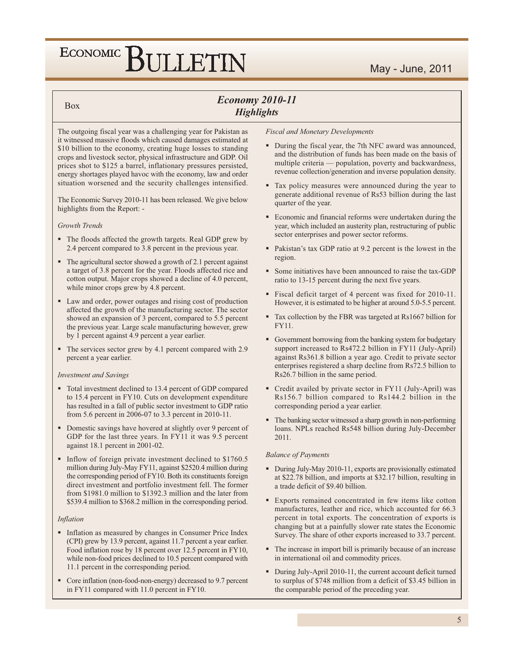#### **Box**

### **Economy 2010-11 Highlights**

The outgoing fiscal year was a challenging year for Pakistan as it witnessed massive floods which caused damages estimated at \$10 billion to the economy, creating huge losses to standing crops and livestock sector, physical infrastructure and GDP. Oil prices shot to \$125 a barrel, inflationary pressures persisted, energy shortages played havoc with the economy, law and order situation worsened and the security challenges intensified.

The Economic Survey 2010-11 has been released. We give below highlights from the Report: -

#### Growth Trends

- The floods affected the growth targets. Real GDP grew by 2.4 percent compared to 3.8 percent in the previous year.
- The agricultural sector showed a growth of 2.1 percent against a target of 3.8 percent for the year. Floods affected rice and cotton output. Major crops showed a decline of 4.0 percent, while minor crops grew by 4.8 percent.
- Law and order, power outages and rising cost of production affected the growth of the manufacturing sector. The sector showed an expansion of 3 percent, compared to 5.5 percent the previous year. Large scale manufacturing however, grew by 1 percent against 4.9 percent a year earlier.
- The services sector grew by 4.1 percent compared with 2.9 percent a year earlier.

#### **Investment and Savings**

- Total investment declined to 13.4 percent of GDP compared to 15.4 percent in FY10. Cuts on development expenditure has resulted in a fall of public sector investment to GDP ratio from 5.6 percent in 2006-07 to 3.3 percent in 2010-11.
- Domestic savings have hovered at slightly over 9 percent of GDP for the last three years. In FY11 it was 9.5 percent against 18.1 percent in 2001-02.
- Inflow of foreign private investment declined to \$1760.5 million during July-May FY11, against \$2520.4 million during the corresponding period of FY10. Both its constituents foreign direct investment and portfolio investment fell. The former from \$1981.0 million to \$1392.3 million and the later from \$539.4 million to \$368.2 million in the corresponding period.

#### Inflation

- Inflation as measured by changes in Consumer Price Index (CPI) grew by 13.9 percent, against 11.7 percent a year earlier. Food inflation rose by 18 percent over 12.5 percent in FY10, while non-food prices declined to 10.5 percent compared with 11.1 percent in the corresponding period.
- Core inflation (non-food-non-energy) decreased to 9.7 percent in FY11 compared with 11.0 percent in FY10.

#### **Fiscal and Monetary Developments**

- During the fiscal year, the 7th NFC award was announced, and the distribution of funds has been made on the basis of multiple criteria — population, poverty and backwardness, revenue collection/generation and inverse population density.
- Tax policy measures were announced during the year to generate additional revenue of Rs53 billion during the last quarter of the year.
- Economic and financial reforms were undertaken during the year, which included an austerity plan, restructuring of public sector enterprises and power sector reforms.
- Pakistan's tax GDP ratio at 9.2 percent is the lowest in the region.
- Some initiatives have been announced to raise the tax-GDP ratio to 13-15 percent during the next five years.
- Fiscal deficit target of 4 percent was fixed for 2010-11. However, it is estimated to be higher at around 5.0-5.5 percent.
- Tax collection by the FBR was targeted at Rs1667 billion for **FY11**.
- Government borrowing from the banking system for budgetary support increased to Rs472.2 billion in FY11 (July-April) against Rs361.8 billion a year ago. Credit to private sector enterprises registered a sharp decline from Rs72.5 billion to Rs26.7 billion in the same period.
- Credit availed by private sector in FY11 (July-April) was Rs156.7 billion compared to Rs144.2 billion in the corresponding period a year earlier.
- The banking sector witnessed a sharp growth in non-performing loans. NPLs reached Rs548 billion during July-December 2011.

#### **Balance of Payments**

- During July-May 2010-11, exports are provisionally estimated at \$22.78 billion, and imports at \$32.17 billion, resulting in a trade deficit of \$9.40 billion.
- Exports remained concentrated in few items like cotton manufactures, leather and rice, which accounted for 66.3 percent in total exports. The concentration of exports is changing but at a painfully slower rate states the Economic Survey. The share of other exports increased to 33.7 percent.
- The increase in import bill is primarily because of an increase in international oil and commodity prices.
- During July-April 2010-11, the current account deficit turned to surplus of \$748 million from a deficit of \$3.45 billion in the comparable period of the preceding year.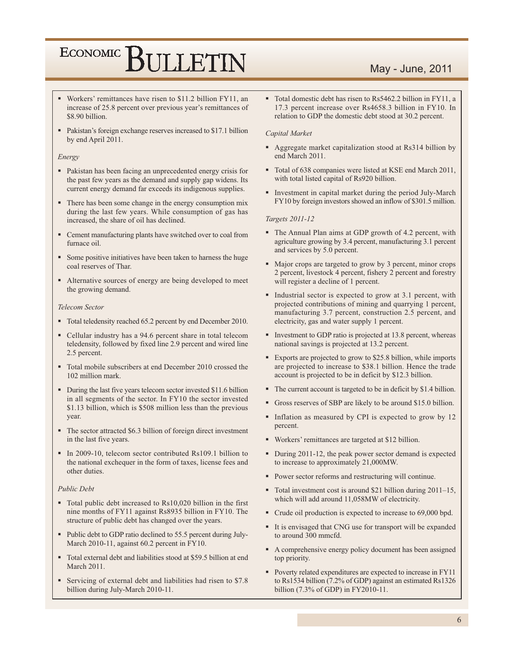#### May - June, 2011

- Workers' remittances have risen to \$11.2 billion FY11, an increase of 25.8 percent over previous year's remittances of \$8.90 billion.
- Pakistan's foreign exchange reserves increased to \$17.1 billion by end April 2011.

#### Energy

- Pakistan has been facing an unprecedented energy crisis for the past few years as the demand and supply gap widens. Its current energy demand far exceeds its indigenous supplies.
- There has been some change in the energy consumption mix during the last few years. While consumption of gas has increased, the share of oil has declined.
- Cement manufacturing plants have switched over to coal from furnace oil.
- Some positive initiatives have been taken to harness the huge coal reserves of Thar.
- Alternative sources of energy are being developed to meet the growing demand.

#### **Telecom Sector**

- Total teledensity reached 65.2 percent by end December 2010.
- Cellular industry has a 94.6 percent share in total telecom teledensity, followed by fixed line 2.9 percent and wired line 2.5 percent.
- Total mobile subscribers at end December 2010 crossed the  $102$  million mark
- During the last five years telecom sector invested \$11.6 billion in all segments of the sector. In FY10 the sector invested \$1.13 billion, which is \$508 million less than the previous vear.
- The sector attracted \$6.3 billion of foreign direct investment in the last five years.
- In 2009-10, telecom sector contributed Rs109.1 billion to the national exchequer in the form of taxes, license fees and other duties.

#### **Public Debt**

- Total public debt increased to Rs10,020 billion in the first nine months of FY11 against Rs8935 billion in FY10. The structure of public debt has changed over the years.
- Public debt to GDP ratio declined to 55.5 percent during July-March 2010-11, against 60.2 percent in FY10.
- Total external debt and liabilities stood at \$59.5 billion at end March 2011
- Servicing of external debt and liabilities had risen to \$7.8 billion during July-March 2010-11.

• Total domestic debt has risen to Rs5462.2 billion in FY11, a 17.3 percent increase over Rs4658.3 billion in FY10. In relation to GDP the domestic debt stood at 30.2 percent.

#### Capital Market

- Aggregate market capitalization stood at Rs314 billion by end March 2011.
- Total of 638 companies were listed at KSE end March 2011, with total listed capital of Rs920 billion.
- Investment in capital market during the period July-March FY10 by foreign investors showed an inflow of \$301.5 million.

#### Targets 2011-12

- The Annual Plan aims at GDP growth of 4.2 percent, with agriculture growing by 3.4 percent, manufacturing 3.1 percent and services by 5.0 percent.
- Major crops are targeted to grow by 3 percent, minor crops 2 percent, livestock 4 percent, fishery 2 percent and forestry will register a decline of 1 percent.
- Industrial sector is expected to grow at 3.1 percent, with projected contributions of mining and quarrying 1 percent, manufacturing 3.7 percent, construction 2.5 percent, and electricity, gas and water supply 1 percent.
- Investment to GDP ratio is projected at 13.8 percent, whereas national savings is projected at 13.2 percent.
- Exports are projected to grow to \$25.8 billion, while imports are projected to increase to \$38.1 billion. Hence the trade account is projected to be in deficit by \$12.3 billion.
- The current account is targeted to be in deficit by \$1.4 billion.
- Gross reserves of SBP are likely to be around \$15.0 billion.
- Inflation as measured by CPI is expected to grow by 12 percent.
- Workers' remittances are targeted at \$12 billion.
- During 2011-12, the peak power sector demand is expected to increase to approximately 21,000MW.
- Power sector reforms and restructuring will continue.
- Total investment cost is around \$21 billion during 2011–15, which will add around 11,058MW of electricity.
- Crude oil production is expected to increase to 69,000 bpd.
- It is envisaged that CNG use for transport will be expanded to around 300 mmcfd.
- A comprehensive energy policy document has been assigned top priority.
- Poverty related expenditures are expected to increase in FY11 to Rs1534 billion (7.2% of GDP) against an estimated Rs1326 billion (7.3% of GDP) in FY2010-11.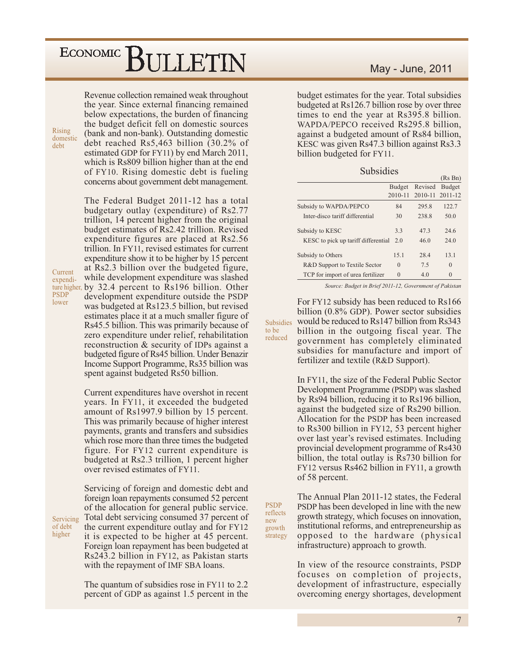Revenue collection remained weak throughout the year. Since external financing remained below expectations, the burden of financing the budget deficit fell on domestic sources (bank and non-bank). Outstanding domestic debt reached  $Rs5,463$  billion  $(30.2\%$  of estimated GDP for FY11) by end March 2011, which is Rs809 billion higher than at the end of FY10. Rising domestic debt is fueling concerns about government debt management.

The Federal Budget 2011-12 has a total budgetary outlay (expenditure) of Rs2.77 trillion, 14 percent higher from the original budget estimates of Rs2.42 trillion. Revised expenditure figures are placed at Rs2.56 trillion. In FY11, revised estimates for current expenditure show it to be higher by 15 percent at Rs2.3 billion over the budgeted figure, while development expenditure was slashed ture higher, by 32.4 percent to Rs196 billion. Other development expenditure outside the PSDP was budgeted at Rs123.5 billion, but revised estimates place it at a much smaller figure of Rs45.5 billion. This was primarily because of zero expenditure under relief, rehabilitation reconstruction & security of IDPs against a budgeted figure of Rs45 billion. Under Benazir Income Support Programme, Rs35 billion was spent against budgeted Rs50 billion.

> Current expenditures have overshot in recent years. In FY11, it exceeded the budgeted amount of Rs1997.9 billion by 15 percent. This was primarily because of higher interest payments, grants and transfers and subsidies which rose more than three times the budgeted figure. For FY12 current expenditure is budgeted at Rs2.3 trillion, 1 percent higher over revised estimates of FY11.

Servicing of foreign and domestic debt and foreign loan repayments consumed 52 percent of the allocation for general public service. Servicing Total debt servicing consumed 37 percent of the current expenditure outlay and for FY12 it is expected to be higher at 45 percent. Foreign loan repayment has been budgeted at Rs243.2 billion in FY12, as Pakistan starts with the repayment of IMF SBA loans.

> The quantum of subsidies rose in FY11 to 2.2 percent of GDP as against 1.5 percent in the

#### May - June, 2011

budget estimates for the year. Total subsidies budgeted at Rs126.7 billion rose by over three times to end the year at Rs395.8 billion. WAPDA/PEPCO received Rs295.8 billion, against a budgeted amount of Rs84 billion, KESC was given Rs47.3 billion against Rs3.3 billion budgeted for FY11.

| Subsidies |  |
|-----------|--|

|                                     |               |         | (Rs Bn)         |
|-------------------------------------|---------------|---------|-----------------|
|                                     | <b>Budget</b> | Revised | Budget          |
|                                     | 2010-11       |         | 2010-11 2011-12 |
| Subsidy to WAPDA/PEPCO              | 84            | 295.8   | 122.7           |
| Inter-disco tariff differential     | 30            | 238.8   | 50.0            |
| Subsidy to KESC                     | 3.3           | 47.3    | 246             |
| KESC to pick up tariff differential | 2.0           | 46.0    | 24.0            |
| Subsidy to Others                   | 15.1          | 28.4    | 13.1            |
| R&D Support to Textile Sector       | $\theta$      | 7.5     | $\theta$        |
| TCP for import of urea fertilizer   | $\Omega$      | 4.0     | $\Omega$        |

Source: Budget in Brief 2011-12, Government of Pakistan

For FY12 subsidy has been reduced to Rs166 billion  $(0.8\%$  GDP). Power sector subsidies would be reduced to Rs147 billion from Rs343 **Subsidies** billion in the outgoing fiscal year. The reduced government has completely eliminated subsidies for manufacture and import of fertilizer and textile (R&D Support).

to be

new

In FY11, the size of the Federal Public Sector Development Programme (PSDP) was slashed by Rs94 billion, reducing it to Rs196 billion, against the budgeted size of Rs290 billion. Allocation for the PSDP has been increased to Rs300 billion in FY12, 53 percent higher over last year's revised estimates. Including provincial development programme of Rs430 billion, the total outlay is Rs730 billion for FY12 versus Rs462 billion in FY11, a growth of 58 percent.

The Annual Plan 2011-12 states, the Federal **PSDP** PSDP has been developed in line with the new reflects growth strategy, which focuses on innovation, institutional reforms, and entrepreneurship as growth opposed to the hardware (physical strategy infrastructure) approach to growth.

> In view of the resource constraints, PSDP focuses on completion of projects, development of infrastructure, especially overcoming energy shortages, development

expendi-**PSDP** lower

of debt

higher

Current

Rising

debt

domestic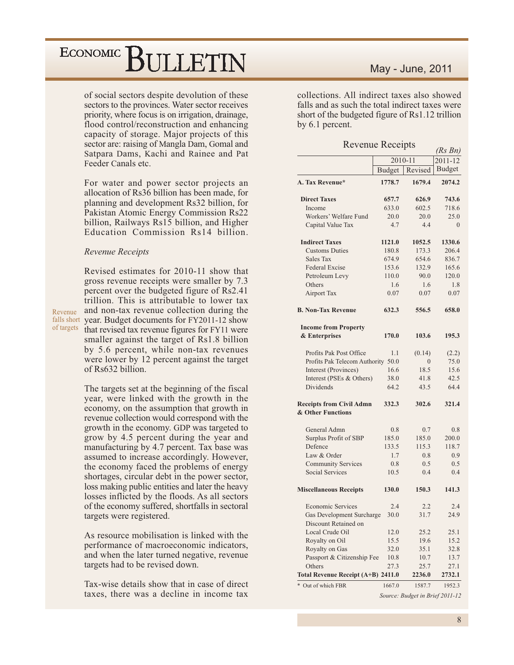## ECONOMIC BIJLETIN

of social sectors despite devolution of these sectors to the provinces. Water sector receives priority, where focus is on irrigation, drainage, flood control/reconstruction and enhancing capacity of storage. Major projects of this sector are: raising of Mangla Dam, Gomal and Satpara Dams, Kachi and Rainee and Pat Feeder Canals etc.

For water and power sector projects an allocation of Rs36 billion has been made, for planning and development Rs32 billion, for Pakistan Atomic Energy Commission Rs22 billion, Railways Rs15 billion, and Higher Education Commission Rs14 billion.

#### Revenue Receipts

Revenue

Revised estimates for 2010-11 show that gross revenue receipts were smaller by 7.3 percent over the budgeted figure of Rs2.41 trillion. This is attributable to lower tax and non-tax revenue collection during the falls short year. Budget documents for FY2011-12 show of targets that revised tax revenue figures for FY11 were smaller against the target of Rs1.8 billion by 5.6 percent, while non-tax revenues were lower by 12 percent against the target of Rs632 billion.

> The targets set at the beginning of the fiscal year, were linked with the growth in the economy, on the assumption that growth in revenue collection would correspond with the growth in the economy. GDP was targeted to grow by 4.5 percent during the year and manufacturing by 4.7 percent. Tax base was assumed to increase accordingly. However, the economy faced the problems of energy shortages, circular debt in the power sector, loss making public entities and later the heavy losses inflicted by the floods. As all sectors of the economy suffered, shortfalls in sectoral targets were registered.

> As resource mobilisation is linked with the performance of macroeconomic indicators, and when the later turned negative, revenue targets had to be revised down.

> Tax-wise details show that in case of direct taxes, there was a decline in income tax

#### May - June, 2011

collections. All indirect taxes also showed falls and as such the total indirect taxes were short of the budgeted figure of Rs1.12 trillion by 6.1 percent.

**Revenue Receipts** 

|                                                      |               | ~۳ ∙۰                           | $(Rs\ Bn)$    |
|------------------------------------------------------|---------------|---------------------------------|---------------|
|                                                      |               | 2010-11                         | 2011-12       |
|                                                      | <b>Budget</b> | Revised                         | <b>Budget</b> |
| A. Tax Revenue*                                      | 1778.7        | 1679.4                          | 2074.2        |
| <b>Direct Taxes</b>                                  | 657.7         | 626.9                           | 743.6         |
| Income                                               | 633.0         | 602.5                           | 718.6         |
| Workers' Welfare Fund                                | 20.0          | 20.0                            | 25.0          |
| Capital Value Tax                                    | 4.7           | 4.4                             | $\theta$      |
| <b>Indirect Taxes</b>                                | 1121.0        | 1052.5                          | 1330.6        |
| <b>Customs Duties</b>                                | 180.8         | 173.3                           | 206.4         |
| Sales Tax                                            | 674.9         | 654.6                           | 836.7         |
| <b>Federal Excise</b>                                | 153.6         | 132.9                           | 165.6         |
| Petroleum Levy                                       | 110.0         | 90.0                            | 120.0         |
| Others                                               | 1.6           | 1.6                             | 1.8           |
| <b>Airport Tax</b>                                   | 0.07          | 0.07                            | 0.07          |
| <b>B. Non-Tax Revenue</b>                            | 632.3         | 556.5                           | 658.0         |
| <b>Income from Property</b>                          |               |                                 |               |
| & Enterprises                                        | 170.0         | 103.6                           | 195.3         |
| Profits Pak Post Office                              | 1.1           | (0.14)                          | (2.2)         |
| Profits Pak Telecom Authority 50.0                   |               | $\boldsymbol{0}$                | 75.0          |
| Interest (Provinces)                                 | 16.6          | 18.5                            | 15.6          |
| Interest (PSEs & Others)                             | 38.0          | 41.8                            | 42.5          |
| Dividends                                            | 64.2          | 43.5                            | 64.4          |
| <b>Receipts from Civil Admn</b><br>& Other Functions | 332.3         | 302.6                           | 321.4         |
|                                                      |               |                                 |               |
| General Admn                                         | 0.8           | 0.7                             | 0.8           |
| Surplus Profit of SBP                                | 185.0         | 185.0                           | 200.0         |
| Defence                                              | 133.5         | 115.3                           | 118.7         |
| Law & Order                                          | 1.7           | 0.8                             | 0.9           |
| <b>Community Services</b>                            | 0.8           | 0.5                             | 0.5           |
| <b>Social Services</b>                               | 10.5          | 0.4                             | 0.4           |
| <b>Miscellaneous Receipts</b>                        | 130.0         | 150.3                           | 141.3         |
| <b>Economic Services</b>                             | 2.4           | 2.2                             | 2.4           |
| Gas Development Surcharge                            | 30.0          | 31.7                            | 24.9          |
| Discount Retained on                                 |               |                                 |               |
| Local Crude Oil                                      | 12.0          | 25.2                            | 25.1          |
| Royalty on Oil                                       | 15.5          | 19.6                            | 15.2          |
| Royalty on Gas                                       | 32.0          | 35.1                            | 32.8          |
| Passport & Citizenship Fee                           | 10.8          | 10.7                            | 13.7          |
| Others                                               | 27.3          | 25.7                            | 27.1          |
| Total Revenue Receipt (A+B) 2411.0                   |               | 2236.0                          | 2732.1        |
| * Out of which FBR                                   | 1667.0        | 1587.7                          | 1952.3        |
|                                                      |               | Source: Budget in Brief 2011-12 |               |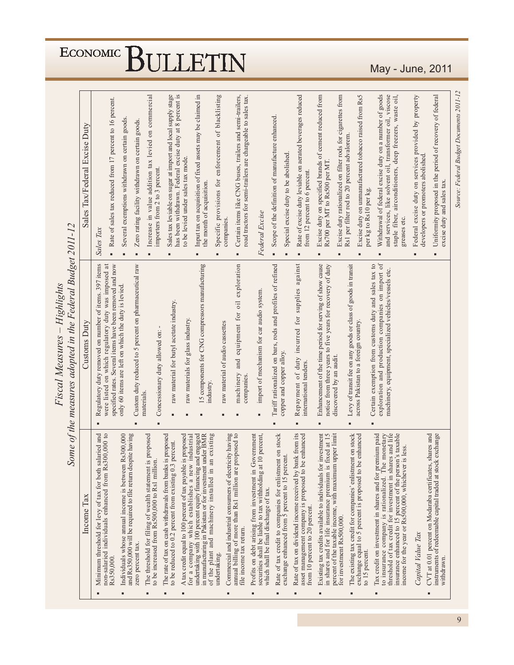| of the plant and machinery installed in an existing<br>Commercial and industrial consumers of electricity having<br>annual billing of more than Rs1 million are proposed to<br>threshold of tax credit for investment in shares and life<br>insurance enhanced to 15 percent of the person's taxable<br>Minimum threshold for levy of tax for both salaried and<br>non-salaried individuals enhanced from Rs300,000 to<br>Profits on debt arising from investment in Government<br>securities shall be liable to tax withholding at 10 percent,<br>Rate of tax on dividend income received by bank from its<br>instruments of redeemable capital traded at stock exchange<br>undertaking with 100 percent equity financing and engaged<br>in manufacturing in Pakistan or for investment under BMR<br>Rate of tax credit to companies for enlistment on stock<br>asset management company is proposed to be enhanced<br>The existing tax credit for companies' enlistment on stock<br>exchange equal to 5 percent is proposed to be enhanced<br>Tax credit on investment in shares and for premium paid<br>to insurance company is rationalized. The monetary<br>and Rs350,000 will be required to file return despite having<br>exchange enhanced from 5 percent to 15 percent.<br>The threshold for filing of wealth statement is <b>p</b> to be increased from Rs500,000 to Rs1 million.<br>Individuals whose annual income is between<br>The rate of tax on cash withdrawals from banks<br>to be reduced to 0.2 percent from existing 0.3<br>A tax credit equal to 100 percent of tax payable<br>for a company which establishes a new<br>Existing tax credits available to individuals for<br>in shares and for life insurance premium is<br>percent of the taxable income, with maximum<br>income for the year or Rs500,000, whichever<br>CVT at 0.01 percent on Modaraba certificates<br>which shall be final discharge of tax.<br>Tax<br>from 10 percent to 20 percent.<br>Income<br>for investment Rs500,000.<br>file income tax return.<br>Capital Value Tax |
|------------------------------------------------------------------------------------------------------------------------------------------------------------------------------------------------------------------------------------------------------------------------------------------------------------------------------------------------------------------------------------------------------------------------------------------------------------------------------------------------------------------------------------------------------------------------------------------------------------------------------------------------------------------------------------------------------------------------------------------------------------------------------------------------------------------------------------------------------------------------------------------------------------------------------------------------------------------------------------------------------------------------------------------------------------------------------------------------------------------------------------------------------------------------------------------------------------------------------------------------------------------------------------------------------------------------------------------------------------------------------------------------------------------------------------------------------------------------------------------------------------------------------------------------------------------------------------------------------------------------------------------------------------------------------------------------------------------------------------------------------------------------------------------------------------------------------------------------------------------------------------------------------------------------------------------------------------------------------------------------------------------------------------------------------------------------|
|------------------------------------------------------------------------------------------------------------------------------------------------------------------------------------------------------------------------------------------------------------------------------------------------------------------------------------------------------------------------------------------------------------------------------------------------------------------------------------------------------------------------------------------------------------------------------------------------------------------------------------------------------------------------------------------------------------------------------------------------------------------------------------------------------------------------------------------------------------------------------------------------------------------------------------------------------------------------------------------------------------------------------------------------------------------------------------------------------------------------------------------------------------------------------------------------------------------------------------------------------------------------------------------------------------------------------------------------------------------------------------------------------------------------------------------------------------------------------------------------------------------------------------------------------------------------------------------------------------------------------------------------------------------------------------------------------------------------------------------------------------------------------------------------------------------------------------------------------------------------------------------------------------------------------------------------------------------------------------------------------------------------------------------------------------------------|

May - June, 2011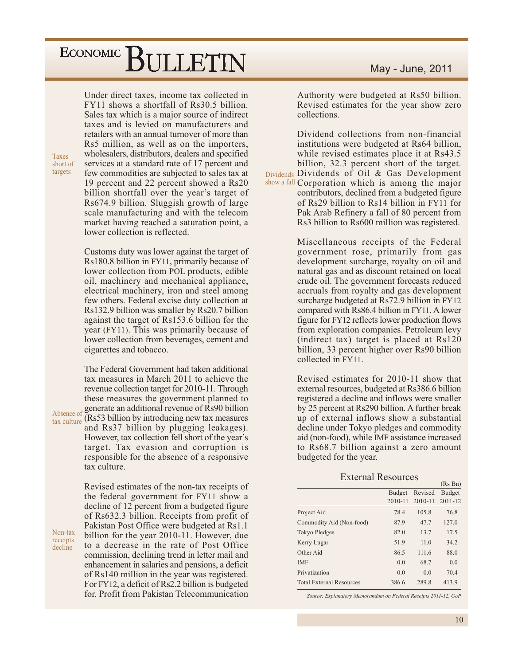### ECONOMIC<sup>]</sup> BULLETIN

Under direct taxes, income tax collected in FY11 shows a shortfall of Rs30.5 billion. Sales tax which is a major source of indirect taxes and is levied on manufacturers and retailers with an annual turnover of more than Rs5 million, as well as on the importers, wholesalers, distributors, dealers and specified services at a standard rate of 17 percent and few commodities are subjected to sales tax at 19 percent and 22 percent showed a Rs20 billion shortfall over the year's target of Rs674.9 billion. Sluggish growth of large scale manufacturing and with the telecom market having reached a saturation point, a lower collection is reflected.

Customs duty was lower against the target of Rs180.8 billion in FY11, primarily because of lower collection from POL products, edible oil, machinery and mechanical appliance, electrical machinery, iron and steel among few others. Federal excise duty collection at Rs132.9 billion was smaller by Rs20.7 billion against the target of Rs153.6 billion for the year (FY11). This was primarily because of lower collection from beverages, cement and cigarettes and tobacco.

The Federal Government had taken additional tax measures in March 2011 to achieve the revenue collection target for 2010-11. Through these measures the government planned to generate an additional revenue of Rs90 billion Absence of (Rs53 billion by introducing new tax measures Absence of and Rs37 billion by plugging leakages). However, tax collection fell short of the year's target. Tax evasion and corruption is responsible for the absence of a responsive tax culture.

> Revised estimates of the non-tax receipts of the federal government for FY11 show a decline of 12 percent from a budgeted figure of Rs632.3 billion. Receipts from profit of Pakistan Post Office were budgeted at Rs1.1 billion for the year 2010-11. However, due to a decrease in the rate of Post Office commission, declining trend in letter mail and enhancement in salaries and pensions, a deficit of Rs140 million in the year was registered. For FY12, a deficit of Rs2.2 billion is budgeted for. Profit from Pakistan Telecommunication

#### May - June, 2011

Authority were budgeted at Rs50 billion. Revised estimates for the year show zero collections.

Dividend collections from non-financial institutions were budgeted at Rs64 billion. while revised estimates place it at Rs43.5 billion, 32.3 percent short of the target. Dividends Dividends of Oil & Gas Development show a fall Corporation which is among the major contributors, declined from a budgeted figure of Rs29 billion to Rs14 billion in FY11 for Pak Arab Refinery a fall of 80 percent from Rs3 billion to Rs600 million was registered.

> Miscellaneous receipts of the Federal government rose, primarily from gas development surcharge, royalty on oil and natural gas and as discount retained on local crude oil. The government forecasts reduced accruals from royalty and gas development surcharge budgeted at Rs72.9 billion in FY12 compared with Rs86.4 billion in FY11. A lower figure for FY12 reflects lower production flows from exploration companies. Petroleum levy (indirect tax) target is placed at Rs120 billion, 33 percent higher over Rs90 billion collected in FY11.

> Revised estimates for 2010-11 show that external resources, budgeted at Rs386.6 billion registered a decline and inflows were smaller by 25 percent at Rs290 billion. A further break up of external inflows show a substantial decline under Tokyo pledges and commodity aid (non-food), while IMF assistance increased to Rs68.7 billion against a zero amount budgeted for the year.

> > **External Resources**

|             |             | (Rs Bn)     |
|-------------|-------------|-------------|
| Budget      | Revised     | Budget      |
| $2010 - 11$ | $2010 - 11$ | $2011 - 12$ |
| 78.4        | 105.8       | 76.8        |
| 87.9        | 47.7        | 127.0       |
| 82.0        | 13.7        | 17.5        |
| 51.9        | 11.0        | 34.2        |
| 86.5        | 111.6       | 88.0        |
| 0.0         | 68.7        | 0.0         |
| 0.0         | 0.0         | 70.4        |
| 386.6       | 289.8       | 413.9       |
|             |             |             |

Source: Explanatory Memorandum on Federal Receipts 2011-12, GoP

Non-tax receipts decline

Taves

short of

targets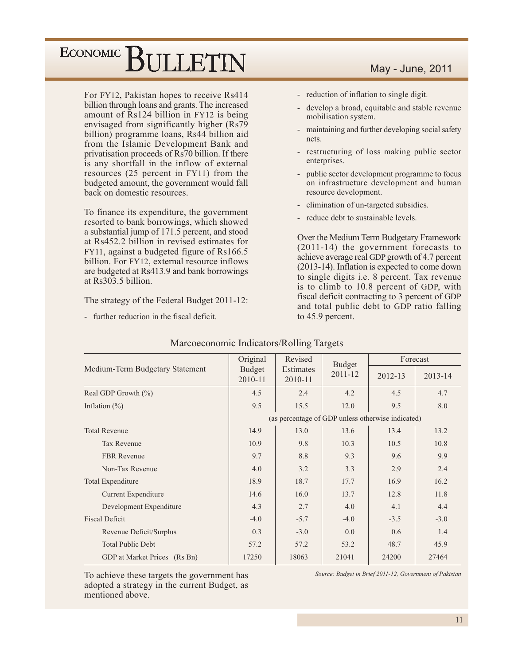For FY12, Pakistan hopes to receive Rs414 billion through loans and grants. The increased amount of Rs124 billion in FY12 is being envisaged from significantly higher (Rs79) billion) programme loans, Rs44 billion aid from the Islamic Development Bank and privatisation proceeds of Rs70 billion. If there is any shortfall in the inflow of external resources (25 percent in FY11) from the budgeted amount, the government would fall back on domestic resources.

To finance its expenditure, the government resorted to bank borrowings, which showed a substantial jump of 171.5 percent, and stood at Rs452.2 billion in revised estimates for FY11, against a budgeted figure of Rs166.5 billion. For FY12, external resource inflows are budgeted at Rs413.9 and bank borrowings at Rs303.5 billion.

The strategy of the Federal Budget 2011-12:

- further reduction in the fiscal deficit.

#### May - June, 2011

- reduction of inflation to single digit.
- develop a broad, equitable and stable revenue  $\overline{\phantom{a}}$ mobilisation system.
- maintaining and further developing social safety  $\Box$ nets.
- restructuring of loss making public sector enterprises.
- $\mathbb{Z}^2$ public sector development programme to focus on infrastructure development and human resource development.
- elimination of un-targeted subsidies.
- reduce debt to sustainable levels.

Over the Medium Term Budgetary Framework  $(2011-14)$  the government forecasts to achieve average real GDP growth of 4.7 percent (2013-14). Inflation is expected to come down to single digits i.e. 8 percent. Tax revenue is to climb to 10.8 percent of GDP, with fiscal deficit contracting to 3 percent of GDP and total public debt to GDP ratio falling to 45.9 percent.

|                                 | Original                 | Revised                     | <b>Budget</b>                                     | Forecast    |         |  |
|---------------------------------|--------------------------|-----------------------------|---------------------------------------------------|-------------|---------|--|
| Medium-Term Budgetary Statement | <b>Budget</b><br>2010-11 | <b>Estimates</b><br>2010-11 | $2011 - 12$                                       | $2012 - 13$ | 2013-14 |  |
| Real GDP Growth $(\% )$         | 4.5                      | 2.4                         | 4.2                                               | 4.5         | 4.7     |  |
| Inflation $(\%)$                | 9.5                      | 15.5                        | 12.0                                              | 9.5         | 8.0     |  |
|                                 |                          |                             | (as percentage of GDP unless otherwise indicated) |             |         |  |
| <b>Total Revenue</b>            | 14.9                     | 13.0                        | 13.6                                              | 13.4        | 13.2    |  |
| <b>Tax Revenue</b>              | 10.9                     | 9.8                         | 10.3                                              | 10.5        | 10.8    |  |
| <b>FBR</b> Revenue              | 9.7                      | 8.8                         | 9.3                                               | 9.6         | 9.9     |  |
| Non-Tax Revenue                 | 4.0                      | 3.2                         | 3.3                                               | 2.9         | 2.4     |  |
| <b>Total Expenditure</b>        | 18.9                     | 18.7                        | 17.7                                              | 16.9        | 16.2    |  |
| Current Expenditure             | 14.6                     | 16.0                        | 13.7                                              | 12.8        | 11.8    |  |
| Development Expenditure         | 4.3                      | 2.7                         | 4.0                                               | 4.1         | 4.4     |  |
| <b>Fiscal Deficit</b>           | $-4.0$                   | $-5.7$                      | $-4.0$                                            | $-3.5$      | $-3.0$  |  |
| Revenue Deficit/Surplus         | 0.3                      | $-3.0$                      | 0.0                                               | 0.6         | 1.4     |  |
| <b>Total Public Debt</b>        | 57.2                     | 57.2                        | 53.2                                              | 48.7        | 45.9    |  |
| GDP at Market Prices (Rs Bn)    | 17250                    | 18063                       | 21041                                             | 24200       | 27464   |  |

#### Marcoeconomic Indicators/Rolling Targets

To achieve these targets the government has adopted a strategy in the current Budget, as mentioned above.

Source: Budget in Brief 2011-12, Government of Pakistan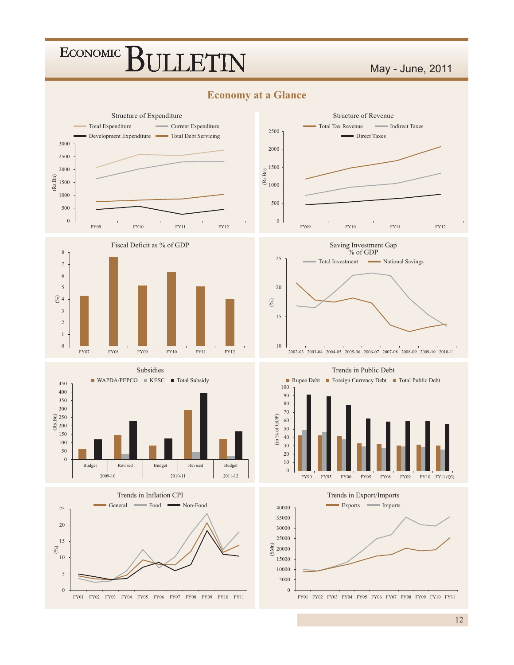### May - June, 2011



















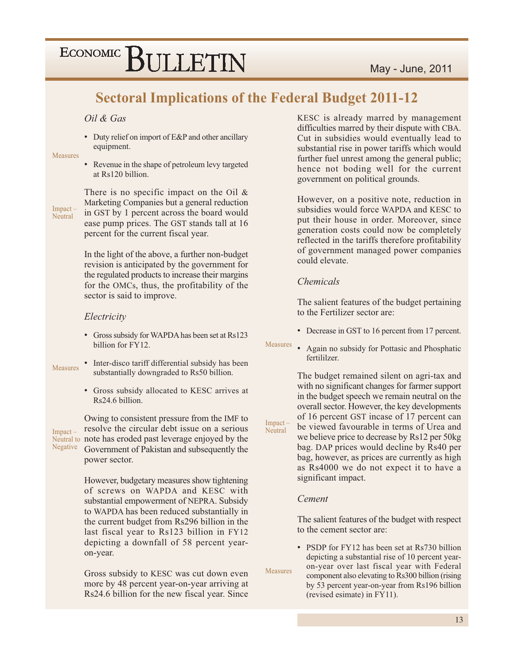### **Sectoral Implications of the Federal Budget 2011-12**

#### Oil & Gas

• Duty relief on import of E&P and other ancillary equipment.

Measures

• Revenue in the shape of petroleum levy targeted at Rs120 billion.

Impact -Neutral

There is no specific impact on the Oil  $\&$ Marketing Companies but a general reduction in GST by 1 percent across the board would ease pump prices. The GST stands tall at 16 percent for the current fiscal year.

In the light of the above, a further non-budget revision is anticipated by the government for the regulated products to increase their margins for the OMCs, thus, the profitability of the sector is said to improve.

#### Electricity

- Gross subsidy for WAPDA has been set at Rs123 billion for FY12.
- Inter-disco tariff differential subsidy has been **Measures** substantially downgraded to Rs50 billion.
	- Gross subsidy allocated to KESC arrives at Rs24.6 billion.

 $Impart -$ Negative

Owing to consistent pressure from the IMF to resolve the circular debt issue on a serious Neutral to note has eroded past leverage enjoyed by the Government of Pakistan and subsequently the power sector.

> However, budgetary measures show tightening of screws on WAPDA and KESC with substantial empowerment of NEPRA. Subsidy to WAPDA has been reduced substantially in the current budget from Rs296 billion in the last fiscal year to Rs123 billion in FY12 depicting a downfall of 58 percent yearon-year.

> Gross subsidy to KESC was cut down even more by 48 percent year-on-year arriving at Rs24.6 billion for the new fiscal year. Since

KESC is already marred by management difficulties marred by their dispute with CBA. Cut in subsidies would eventually lead to substantial rise in power tariffs which would further fuel unrest among the general public; hence not boding well for the current government on political grounds.

However, on a positive note, reduction in subsidies would force WAPDA and KESC to put their house in order. Moreover, since generation costs could now be completely reflected in the tariffs therefore profitability of government managed power companies could elevate.

#### *Chemicals*

The salient features of the budget pertaining to the Fertilizer sector are:

- Decrease in GST to 16 percent from 17 percent.
- Measures Again no subsidy for Pottasic and Phosphatic fertililzer.

The budget remained silent on agri-tax and with no significant changes for farmer support in the budget speech we remain neutral on the overall sector. However, the key developments of 16 percent GST incase of 17 percent can be viewed favourable in terms of Urea and we believe price to decrease by Rs12 per 50kg bag. DAP prices would decline by Rs40 per bag, however, as prices are currently as high as Rs4000 we do not expect it to have a significant impact.

#### Cement

Impact

Neutral

**Measures** 

The salient features of the budget with respect to the cement sector are:

• PSDP for FY12 has been set at Rs730 billion depicting a substantial rise of 10 percent yearon-year over last fiscal year with Federal component also elevating to Rs300 billion (rising by 53 percent year-on-year from Rs196 billion (revised esimate) in FY11).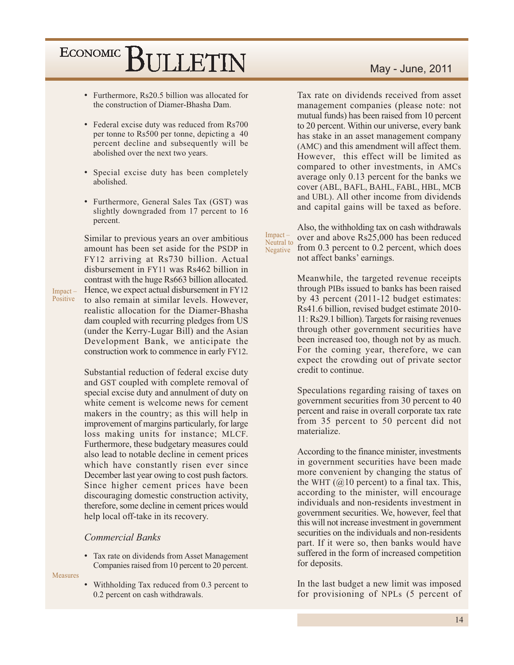- Furthermore, Rs20.5 billion was allocated for the construction of Diamer-Bhasha Dam.
- Federal excise duty was reduced from Rs700 per tonne to Rs500 per tonne, depicting a 40 percent decline and subsequently will be abolished over the next two years.
- Special excise duty has been completely abolished.
- Furthermore, General Sales Tax (GST) was slightly downgraded from 17 percent to 16 percent.

Similar to previous years an over ambitious amount has been set aside for the PSDP in FY12 arriving at Rs730 billion. Actual disbursement in FY11 was Rs462 billion in contrast with the huge Rs663 billion allocated. Hence, we expect actual disbursement in FY12  $Impack -$ Positive to also remain at similar levels. However, realistic allocation for the Diamer-Bhasha dam coupled with recurring pledges from US (under the Kerry-Lugar Bill) and the Asian Development Bank, we anticipate the construction work to commence in early FY12.

> Substantial reduction of federal excise duty and GST coupled with complete removal of special excise duty and annulment of duty on white cement is welcome news for cement makers in the country; as this will help in improvement of margins particularly, for large loss making units for instance; MLCF. Furthermore, these budgetary measures could also lead to notable decline in cement prices which have constantly risen ever since December last year owing to cost push factors. Since higher cement prices have been discouraging domestic construction activity, therefore, some decline in cement prices would help local off-take in its recovery.

#### **Commercial Banks**

• Tax rate on dividends from Asset Management Companies raised from 10 percent to 20 percent.

Measures

Withholding Tax reduced from 0.3 percent to 0.2 percent on cash withdrawals.

#### May - June, 2011

Tax rate on dividends received from asset management companies (please note: not mutual funds) has been raised from 10 percent to 20 percent. Within our universe, every bank has stake in an asset management company (AMC) and this amendment will affect them. However, this effect will be limited as compared to other investments, in AMCs average only 0.13 percent for the banks we cover (ABL, BAFL, BAHL, FABL, HBL, MCB and UBL). All other income from dividends and capital gains will be taxed as before.

Impact-Neutral to Negative

Also, the withholding tax on cash withdrawals over and above Rs25,000 has been reduced from 0.3 percent to 0.2 percent, which does not affect banks' earnings.

Meanwhile, the targeted revenue receipts through PIBs issued to banks has been raised by 43 percent (2011-12 budget estimates: Rs41.6 billion, revised budget estimate 2010-11: Rs29.1 billion). Targets for raising revenues through other government securities have been increased too, though not by as much. For the coming year, therefore, we can expect the crowding out of private sector credit to continue.

Speculations regarding raising of taxes on government securities from 30 percent to 40 percent and raise in overall corporate tax rate from 35 percent to 50 percent did not materialize.

According to the finance minister, investments in government securities have been made more convenient by changing the status of the WHT  $(Q)10$  percent) to a final tax. This, according to the minister, will encourage individuals and non-residents investment in government securities. We, however, feel that this will not increase investment in government securities on the individuals and non-residents part. If it were so, then banks would have suffered in the form of increased competition for deposits.

In the last budget a new limit was imposed for provisioning of NPLs (5 percent of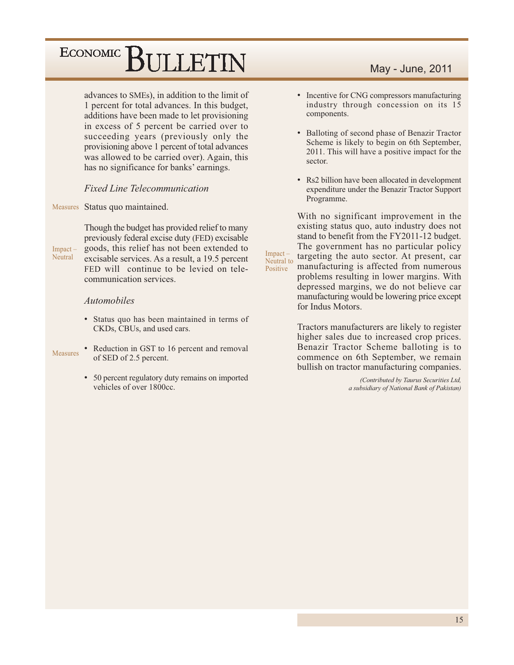advances to SMEs), in addition to the limit of 1 percent for total advances. In this budget, additions have been made to let provisioning in excess of 5 percent be carried over to succeeding years (previously only the provisioning above 1 percent of total advances was allowed to be carried over). Again, this has no significance for banks' earnings.

#### **Fixed Line Telecommunication**

Measures Status quo maintained.

Though the budget has provided relief to many previously federal excise duty (FED) excisable goods, this relief has not been extended to Impact-Neutral excisable services. As a result, a 19.5 percent FED will continue to be levied on telecommunication services

#### *Automobiles*

- Status quo has been maintained in terms of CKDs, CBUs, and used cars.
- Reduction in GST to 16 percent and removal **Measures** of SED of 2.5 percent.
	- 50 percent regulatory duty remains on imported vehicles of over 1800cc.

#### May - June, 2011

- Incentive for CNG compressors manufacturing industry through concession on its 15 components.
- Balloting of second phase of Benazir Tractor Scheme is likely to begin on 6th September, 2011. This will have a positive impact for the sector.
- Rs2 billion have been allocated in development expenditure under the Benazir Tractor Support Programme.

With no significant improvement in the existing status quo, auto industry does not stand to benefit from the FY2011-12 budget. The government has no particular policy targeting the auto sector. At present, car Neutral to manufacturing is affected from numerous problems resulting in lower margins. With depressed margins, we do not believe car manufacturing would be lowering price except for Indus Motors.

Impact-

Positive

Tractors manufacturers are likely to register higher sales due to increased crop prices. Benazir Tractor Scheme balloting is to commence on 6th September, we remain bullish on tractor manufacturing companies.

> (Contributed by Taurus Securities Ltd, a subsidiary of National Bank of Pakistan)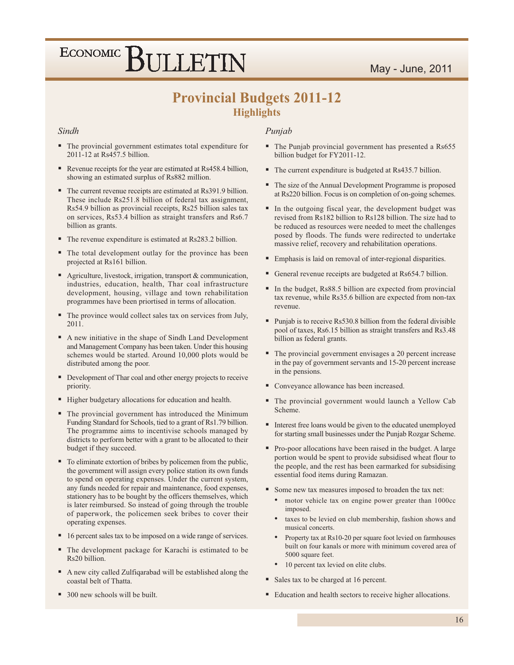### May - June, 2011

## ECONOMIC BULLETIN

### **Provincial Budgets 2011-12 Highlights**

#### Sindh

- The provincial government estimates total expenditure for 2011-12 at Rs457.5 billion.
- Revenue receipts for the year are estimated at Rs458.4 billion, showing an estimated surplus of Rs882 million.
- The current revenue receipts are estimated at Rs391.9 billion. These include Rs251.8 billion of federal tax assignment, Rs54.9 billion as provincial receipts, Rs25 billion sales tax on services, Rs53.4 billion as straight transfers and Rs6.7 billion as grants.
- The revenue expenditure is estimated at Rs283.2 billion.
- The total development outlay for the province has been projected at Rs161 billion.
- Agriculture, livestock, irrigation, transport & communication, industries, education, health, Thar coal infrastructure development, housing, village and town rehabilitation programmes have been priortised in terms of allocation.
- The province would collect sales tax on services from July, 2011.
- A new initiative in the shape of Sindh Land Development and Management Company has been taken. Under this housing schemes would be started. Around 10,000 plots would be distributed among the poor.
- Development of Thar coal and other energy projects to receive priority.
- " Higher budgetary allocations for education and health.
- The provincial government has introduced the Minimum Funding Standard for Schools, tied to a grant of Rs1.79 billion. The programme aims to incentivise schools managed by districts to perform better with a grant to be allocated to their budget if they succeed.
- To eliminate extortion of bribes by policemen from the public, the government will assign every police station its own funds to spend on operating expenses. Under the current system, any funds needed for repair and maintenance, food expenses, stationery has to be bought by the officers themselves, which is later reimbursed. So instead of going through the trouble of paperwork, the policemen seek bribes to cover their operating expenses.
- 16 percent sales tax to be imposed on a wide range of services.
- The development package for Karachi is estimated to be Rs20 billion.
- A new city called Zulfiqarabad will be established along the coastal belt of Thatta.
- 300 new schools will be built.

#### Punjab

- The Punjab provincial government has presented a Rs655 billion budget for FY2011-12.
- The current expenditure is budgeted at Rs435.7 billion.
- The size of the Annual Development Programme is proposed at Rs220 billion. Focus is on completion of on-going schemes.
- In the outgoing fiscal year, the development budget was revised from Rs182 billion to Rs128 billion. The size had to be reduced as resources were needed to meet the challenges posed by floods. The funds were redirected to undertake massive relief, recovery and rehabilitation operations.
- " Emphasis is laid on removal of inter-regional disparities.
- General revenue receipts are budgeted at Rs654.7 billion.
- In the budget, Rs88.5 billion are expected from provincial tax revenue, while Rs35.6 billion are expected from non-tax revenue.
- Punjab is to receive Rs530.8 billion from the federal divisible pool of taxes, Rs6.15 billion as straight transfers and Rs3.48 billion as federal grants.
- The provincial government envisages a 20 percent increase in the pay of government servants and 15-20 percent increase in the pensions.
- Conveyance allowance has been increased.
- " The provincial government would launch a Yellow Cab Scheme.
- Interest free loans would be given to the educated unemployed for starting small businesses under the Punjab Rozgar Scheme.
- Pro-poor allocations have been raised in the budget. A large portion would be spent to provide subsidised wheat flour to the people, and the rest has been earmarked for subsidising essential food items during Ramazan.
- Some new tax measures imposed to broaden the tax net:
	- motor vehicle tax on engine power greater than 1000cc imposed.
	- taxes to be levied on club membership, fashion shows and musical concerts.
	- Property tax at Rs10-20 per square foot levied on farmhouses built on four kanals or more with minimum covered area of 5000 square feet.
	- 10 percent tax levied on elite clubs.
- Sales tax to be charged at 16 percent.
- Education and health sectors to receive higher allocations.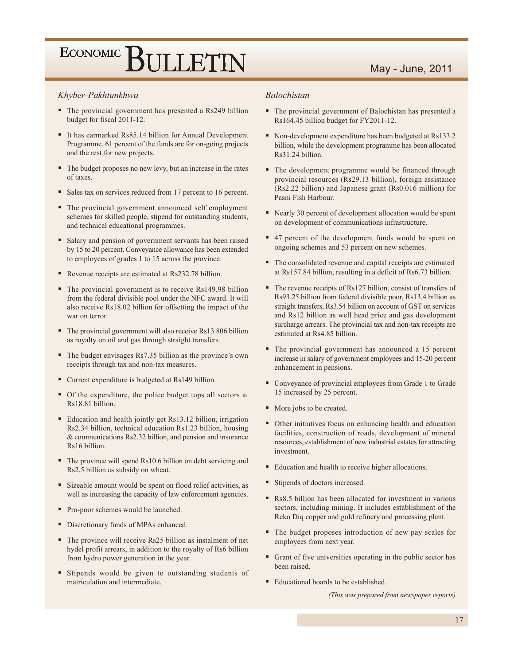### May - June, 2011

#### Khyber-Pakhtunkhwa

- The provincial government has presented a Rs249 billion budget for fiscal 2011-12.
- It has earmarked Rs85.14 billion for Annual Development Programme. 61 percent of the funds are for on-going projects and the rest for new projects.
- The budget proposes no new levy, but an increase in the rates of taxes.
- Sales tax on services reduced from 17 percent to 16 percent.
- The provincial government announced self employment schemes for skilled people, stipend for outstanding students, and technical educational programmes.
- Salary and pension of government servants has been raised by 15 to 20 percent. Conveyance allowance has been extended to employees of grades 1 to 15 across the province.
- Revenue receipts are estimated at Rs232.78 billion.
- The provincial government is to receive Rs149.98 billion from the federal divisible pool under the NFC award. It will also receive Rs18.02 billion for offsetting the impact of the war on terror.
- The provincial government will also receive Rs13.806 billion as royalty on oil and gas through straight transfers.
- The budget envisages Rs7.35 billion as the province's own receipts through tax and non-tax measures.
- Current expenditure is budgeted at Rs149 billion.
- Of the expenditure, the police budget tops all sectors at Rs18.81 billion.
- Education and health jointly get Rs13.12 billion, irrigation Rs2.34 billion, technical education Rs1.23 billion, housing & communications Rs2.32 billion, and pension and insurance Rs16 billion.
- The province will spend Rs10.6 billion on debt servicing and Rs2.5 billion as subsidy on wheat.
- Sizeable amount would be spent on flood relief activities, as well as increasing the capacity of law enforcement agencies.
- Pro-poor schemes would be launched.
- Discretionary funds of MPAs enhanced.
- The province will receive Rs25 billion as instalment of net hydel profit arrears, in addition to the royalty of Rs6 billion from hydro power generation in the year.
- " Stipends would be given to outstanding students of matriculation and intermediate.

#### **Balochistan**

- The provincial government of Balochistan has presented a Rs164.45 billion budget for FY2011-12.
- Non-development expenditure has been budgeted at Rs133.2 billion, while the development programme has been allocated Rs31.24 billion.
- The development programme would be financed through provincial resources (Rs29.13 billion), foreign assistance (Rs2.22 billion) and Japanese grant (Rs0.016 million) for Pasni Fish Harbour.
- Nearly 30 percent of development allocation would be spent on development of communications infrastructure.
- 47 percent of the development funds would be spent on ongoing schemes and 53 percent on new schemes.
- The consolidated revenue and capital receipts are estimated at Rs157.84 billion, resulting in a deficit of Rs6.73 billion.
- $\blacksquare$  The revenue receipts of Rs127 billion, consist of transfers of Rs93.25 billion from federal divisible poor, Rs13.4 billion as straight transfers, Rs3.54 billion on account of GST on services and Rs12 billion as well head price and gas development surcharge arrears. The provincial tax and non-tax receipts are estimated at Rs4.85 billion.
- The provincial government has announced a 15 percent increase in salary of government employees and 15-20 percent enhancement in pensions.
- Conveyance of provincial employees from Grade 1 to Grade 15 increased by 25 percent.
- More jobs to be created.
- Other initiatives focus on enhancing health and education facilities, construction of roads, development of mineral resources, establishment of new industrial estates for attracting investment.
- Education and health to receive higher allocations.
- Stipends of doctors increased.
- Rs8.5 billion has been allocated for investment in various sectors, including mining. It includes establishment of the Reko Diq copper and gold refinery and processing plant.
- The budget proposes introduction of new pay scales for employees from next year.
- Grant of five universities operating in the public sector has been raised.
- Educational boards to be established.

(This was prepared from newspaper reports)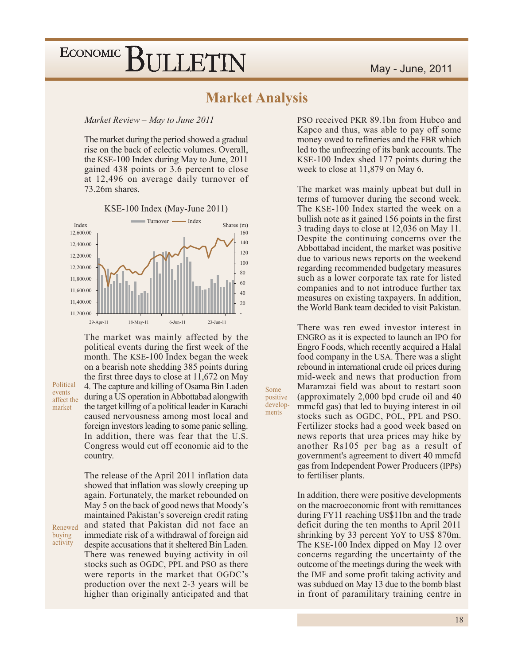### **Market Analysis**

Some

ments

positive

develop-

Market Review - May to June 2011

The market during the period showed a gradual rise on the back of eclectic volumes. Overall, the KSE-100 Index during May to June, 2011 gained 438 points or 3.6 percent to close at 12,496 on average daily turnover of 73.26m shares.



KSE-100 Index (May-June 2011)

The market was mainly affected by the political events during the first week of the month. The KSE-100 Index began the week on a bearish note shedding 385 points during the first three days to close at  $11,672$  on May 4. The capture and killing of Osama Bin Laden during a US operation in Abbottabad alongwith the target killing of a political leader in Karachi caused nervousness among most local and foreign investors leading to some panic selling. In addition, there was fear that the U.S. Congress would cut off economic aid to the country.

Political

affect the

Renewed buying

activity

events

market

The release of the April 2011 inflation data showed that inflation was slowly creeping up again. Fortunately, the market rebounded on May 5 on the back of good news that Moody's maintained Pakistan's sovereign credit rating and stated that Pakistan did not face an immediate risk of a withdrawal of foreign aid despite accusations that it sheltered Bin Laden. There was renewed buying activity in oil stocks such as OGDC, PPL and PSO as there were reports in the market that OGDC's production over the next 2-3 years will be higher than originally anticipated and that

PSO received PKR 89.1bn from Hubco and Kapco and thus, was able to pay off some money owed to refineries and the FBR which led to the unfreezing of its bank accounts. The KSE-100 Index shed 177 points during the week to close at 11,879 on May 6.

The market was mainly upbeat but dull in terms of turnover during the second week. The KSE-100 Index started the week on a bullish note as it gained 156 points in the first 3 trading days to close at 12,036 on May 11. Despite the continuing concerns over the Abbottabad incident, the market was positive due to various news reports on the weekend regarding recommended budgetary measures such as a lower corporate tax rate for listed companies and to not introduce further tax measures on existing taxpayers. In addition, the World Bank team decided to visit Pakistan.

There was ren ewed investor interest in ENGRO as it is expected to launch an IPO for Engro Foods, which recently acquired a Halal food company in the USA. There was a slight rebound in international crude oil prices during mid-week and news that production from Maramzai field was about to restart soon (approximately 2,000 bpd crude oil and 40) mmcfd gas) that led to buying interest in oil stocks such as OGDC, POL, PPL and PSO. Fertilizer stocks had a good week based on news reports that urea prices may hike by another Rs105 per bag as a result of government's agreement to divert 40 mmcfd gas from Independent Power Producers (IPPs) to fertiliser plants.

In addition, there were positive developments on the macroeconomic front with remittances during FY11 reaching US\$11bn and the trade deficit during the ten months to April 2011 shrinking by 33 percent YoY to US\$ 870m. The KSE-100 Index dipped on May 12 over concerns regarding the uncertainty of the outcome of the meetings during the week with the IMF and some profit taking activity and was subdued on May 13 due to the bomb blast in front of paramilitary training centre in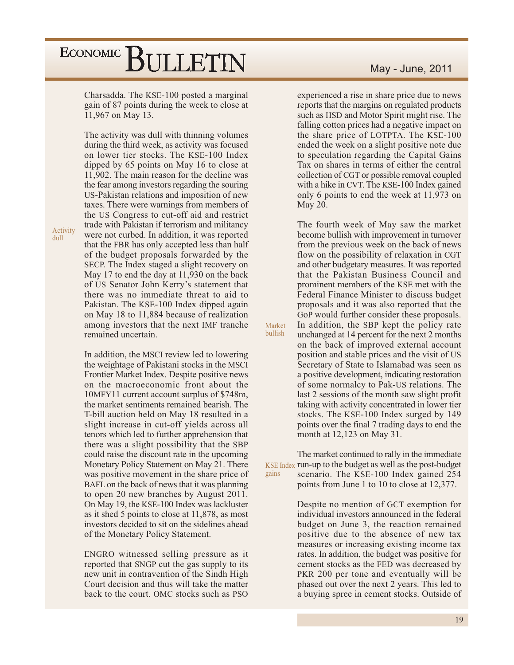Charsadda. The KSE-100 posted a marginal gain of 87 points during the week to close at 11,967 on May 13.

The activity was dull with thinning volumes during the third week, as activity was focused on lower tier stocks. The KSE-100 Index dipped by 65 points on May 16 to close at 11,902. The main reason for the decline was the fear among investors regarding the souring US-Pakistan relations and imposition of new taxes. There were warnings from members of the US Congress to cut-off aid and restrict trade with Pakistan if terrorism and militancy were not curbed. In addition, it was reported that the FBR has only accepted less than half of the budget proposals forwarded by the SECP. The Index staged a slight recovery on May 17 to end the day at 11,930 on the back of US Senator John Kerry's statement that there was no immediate threat to aid to Pakistan. The KSE-100 Index dipped again on May 18 to 11,884 because of realization among investors that the next IMF tranche remained uncertain.

In addition, the MSCI review led to lowering the weightage of Pakistani stocks in the MSCI Frontier Market Index. Despite positive news on the macroeconomic front about the 10MFY11 current account surplus of \$748m. the market sentiments remained bearish. The T-bill auction held on May 18 resulted in a slight increase in cut-off yields across all tenors which led to further apprehension that there was a slight possibility that the SBP could raise the discount rate in the upcoming Monetary Policy Statement on May 21. There was positive movement in the share price of BAFL on the back of news that it was planning to open 20 new branches by August 2011. On May 19, the KSE-100 Index was lackluster as it shed 5 points to close at 11,878, as most investors decided to sit on the sidelines ahead of the Monetary Policy Statement.

ENGRO witnessed selling pressure as it reported that SNGP cut the gas supply to its new unit in contravention of the Sindh High Court decision and thus will take the matter back to the court. OMC stocks such as PSO

#### May - June, 2011

experienced a rise in share price due to news reports that the margins on regulated products such as HSD and Motor Spirit might rise. The falling cotton prices had a negative impact on the share price of LOTPTA. The KSE-100 ended the week on a slight positive note due to speculation regarding the Capital Gains Tax on shares in terms of either the central collection of CGT or possible removal coupled with a hike in CVT. The KSE-100 Index gained only 6 points to end the week at 11,973 on May 20.

The fourth week of May saw the market become bullish with improvement in turnover from the previous week on the back of news flow on the possibility of relaxation in CGT and other budgetary measures. It was reported that the Pakistan Business Council and prominent members of the KSE met with the Federal Finance Minister to discuss budget proposals and it was also reported that the GoP would further consider these proposals. In addition, the SBP kept the policy rate unchanged at 14 percent for the next 2 months on the back of improved external account position and stable prices and the visit of US Secretary of State to Islamabad was seen as a positive development, indicating restoration of some normalcy to Pak-US relations. The last 2 sessions of the month saw slight profit taking with activity concentrated in lower tier stocks. The KSE-100 Index surged by 149 points over the final 7 trading days to end the month at 12,123 on May 31.

Market bullish

The market continued to rally in the immediate KSE Index run-up to the budget as well as the post-budget gains scenario. The KSE-100 Index gained 254 points from June 1 to 10 to close at 12,377.

> Despite no mention of GCT exemption for individual investors announced in the federal budget on June 3, the reaction remained positive due to the absence of new tax measures or increasing existing income tax rates. In addition, the budget was positive for cement stocks as the FED was decreased by PKR 200 per tone and eventually will be phased out over the next 2 years. This led to a buying spree in cement stocks. Outside of

Activity  $_{\text{dull}}$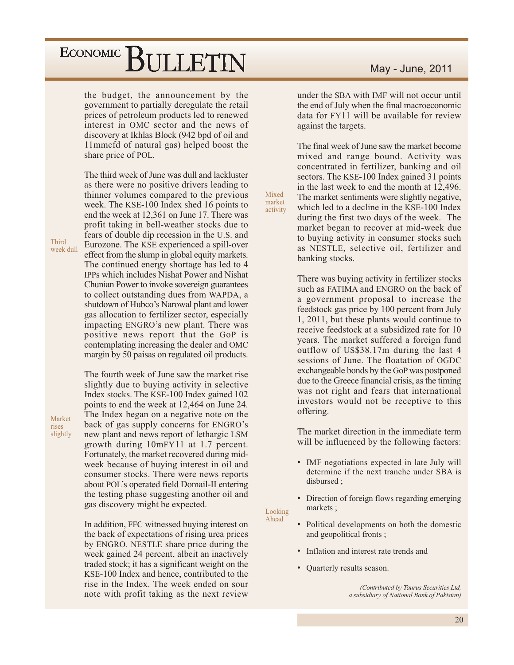the budget, the announcement by the government to partially deregulate the retail prices of petroleum products led to renewed interest in OMC sector and the news of discovery at Ikhlas Block (942 bpd of oil and 11mmcfd of natural gas) helped boost the share price of POL.

The third week of June was dull and lackluster as there were no positive drivers leading to thinner volumes compared to the previous week. The KSE-100 Index shed 16 points to end the week at 12.361 on June 17. There was profit taking in bell-weather stocks due to fears of double dip recession in the U.S. and Eurozone. The KSE experienced a spill-over effect from the slump in global equity markets. The continued energy shortage has led to 4 **IPPs which includes Nishat Power and Nishat** Chunian Power to invoke sovereign guarantees to collect outstanding dues from WAPDA, a shutdown of Hubco's Narowal plant and lower gas allocation to fertilizer sector, especially impacting ENGRO's new plant. There was positive news report that the GoP is contemplating increasing the dealer and OMC margin by 50 paisas on regulated oil products.

Third

Market

slightly

rises

week dull

The fourth week of June saw the market rise slightly due to buying activity in selective Index stocks. The KSE-100 Index gained 102 points to end the week at 12,464 on June 24. The Index began on a negative note on the back of gas supply concerns for ENGRO's new plant and news report of lethargic LSM growth during 10mFY11 at 1.7 percent. Fortunately, the market recovered during midweek because of buying interest in oil and consumer stocks. There were news reports about POL's operated field Domail-II entering the testing phase suggesting another oil and gas discovery might be expected.

In addition, FFC witnessed buying interest on the back of expectations of rising urea prices by ENGRO. NESTLE share price during the week gained 24 percent, albeit an inactively traded stock; it has a significant weight on the KSE-100 Index and hence, contributed to the rise in the Index. The week ended on sour note with profit taking as the next review

under the SBA with IMF will not occur until the end of July when the final macroeconomic data for FY11 will be available for review against the targets.

The final week of June saw the market become mixed and range bound. Activity was concentrated in fertilizer, banking and oil sectors. The KSE-100 Index gained 31 points in the last week to end the month at 12,496. The market sentiments were slightly negative, which led to a decline in the KSE-100 Index during the first two days of the week. The market began to recover at mid-week due to buying activity in consumer stocks such as NESTLE, selective oil, fertilizer and banking stocks.

There was buying activity in fertilizer stocks such as FATIMA and ENGRO on the back of a government proposal to increase the feedstock gas price by 100 percent from July 1, 2011, but these plants would continue to receive feedstock at a subsidized rate for 10 years. The market suffered a foreign fund outflow of US\$38.17m during the last 4 sessions of June. The floatation of OGDC exchangeable bonds by the GoP was postponed due to the Greece financial crisis, as the timing was not right and fears that international investors would not be receptive to this offering.

The market direction in the immediate term will be influenced by the following factors:

- IMF negotiations expected in late July will determine if the next tranche under SBA is disbursed:
- Direction of foreign flows regarding emerging markets;
- Looking Ahead

Mixed

market

activity

- Political developments on both the domestic and geopolitical fronts;
- Inflation and interest rate trends and
- $\bullet$ Quarterly results season.

(Contributed by Taurus Securities Ltd, a subsidiary of National Bank of Pakistan)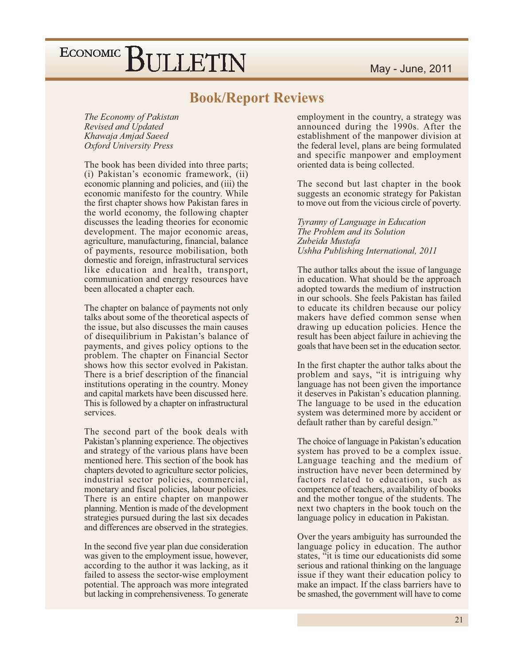### **Book/Report Reviews**

The Economy of Pakistan Revised and Updated Khawaja Amjad Saeed Oxford University Press

The book has been divided into three parts; (i) Pakistan's economic framework, (ii) economic planning and policies, and (iii) the economic manifesto for the country. While the first chapter shows how Pakistan fares in the world economy, the following chapter discusses the leading theories for economic development. The major economic areas, agriculture, manufacturing, financial, balance of payments, resource mobilisation, both domestic and foreign, infrastructural services like education and health, transport, communication and energy resources have been allocated a chapter each.

The chapter on balance of payments not only talks about some of the theoretical aspects of the issue, but also discusses the main causes of disequilibrium in Pakistan's balance of payments, and gives policy options to the problem. The chapter on Financial Sector shows how this sector evolved in Pakistan. There is a brief description of the financial institutions operating in the country. Money and capital markets have been discussed here. This is followed by a chapter on infrastructural services.

The second part of the book deals with Pakistan's planning experience. The objectives and strategy of the various plans have been mentioned here. This section of the book has chapters devoted to agriculture sector policies, industrial sector policies, commercial, monetary and fiscal policies, labour policies. There is an entire chapter on manpower planning. Mention is made of the development strategies pursued during the last six decades and differences are observed in the strategies.

In the second five year plan due consideration was given to the employment issue, however, according to the author it was lacking, as it failed to assess the sector-wise employment potential. The approach was more integrated but lacking in comprehensiveness. To generate employment in the country, a strategy was announced during the 1990s. After the establishment of the manpower division at the federal level, plans are being formulated and specific manpower and employment oriented data is being collected.

The second but last chapter in the book suggests an economic strategy for Pakistan to move out from the vicious circle of poverty.

Tyranny of Language in Education The Problem and its Solution Zubeida Mustafa Ushha Publishing International, 2011

The author talks about the issue of language in education. What should be the approach adopted towards the medium of instruction in our schools. She feels Pakistan has failed to educate its children because our policy makers have defied common sense when drawing up education policies. Hence the result has been abject failure in achieving the goals that have been set in the education sector.

In the first chapter the author talks about the problem and says, "it is intriguing why language has not been given the importance it deserves in Pakistan's education planning. The language to be used in the education system was determined more by accident or default rather than by careful design."

The choice of language in Pakistan's education system has proved to be a complex issue. Language teaching and the medium of instruction have never been determined by factors related to education, such as competence of teachers, availability of books and the mother tongue of the students. The next two chapters in the book touch on the language policy in education in Pakistan.

Over the years ambiguity has surrounded the language policy in education. The author states, "it is time our educationists did some serious and rational thinking on the language issue if they want their education policy to make an impact. If the class barriers have to be smashed, the government will have to come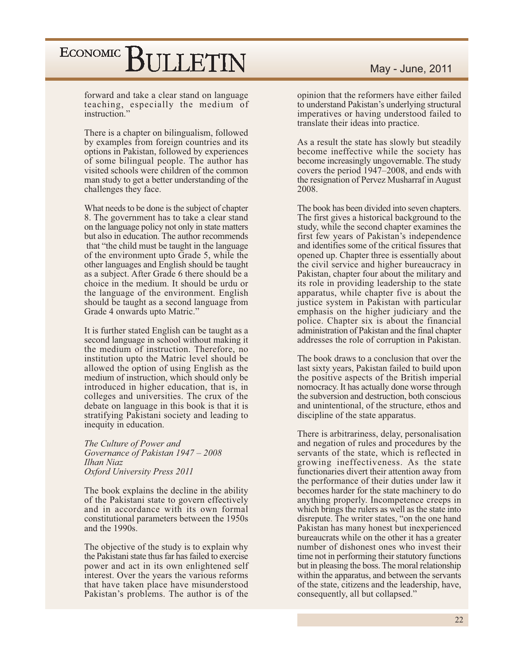forward and take a clear stand on language teaching, especially the medium of instruction.'

There is a chapter on bilingualism, followed by examples from foreign countries and its options in Pakistan, followed by experiences of some bilingual people. The author has visited schools were children of the common man study to get a better understanding of the challenges they face.

What needs to be done is the subject of chapter 8. The government has to take a clear stand on the language policy not only in state matters but also in education. The author recommends that "the child must be taught in the language" of the environment upto Grade 5, while the other languages and English should be taught as a subject. After Grade 6 there should be a choice in the medium. It should be urdu or the language of the environment. English should be taught as a second language from Grade 4 onwards upto Matric."

It is further stated English can be taught as a second language in school without making it the medium of instruction. Therefore, no institution upto the Matric level should be allowed the option of using English as the medium of instruction, which should only be introduced in higher education, that is, in colleges and universities. The crux of the debate on language in this book is that it is stratifying Pakistani society and leading to inequity in education.

The Culture of Power and Governance of Pakistan 1947 - 2008 Ilhan Niaz Oxford University Press 2011

The book explains the decline in the ability of the Pakistani state to govern effectively and in accordance with its own formal constitutional parameters between the 1950s and the 1990s.

The objective of the study is to explain why the Pakistani state thus far has failed to exercise power and act in its own enlightened self interest. Over the years the various reforms that have taken place have misunderstood Pakistan's problems. The author is of the opinion that the reformers have either failed to understand Pakistan's underlying structural imperatives or having understood failed to translate their ideas into practice.

As a result the state has slowly but steadily become ineffective while the society has become increasingly ungovernable. The study covers the period 1947–2008, and ends with the resignation of Pervez Musharraf in August 2008.

The book has been divided into seven chapters. The first gives a historical background to the study, while the second chapter examines the first few years of Pakistan's independence and identifies some of the critical fissures that opened up. Chapter three is essentially about the civil service and higher bureaucracy in Pakistan, chapter four about the military and its role in providing leadership to the state apparatus, while chapter five is about the justice system in Pakistan with particular emphasis on the higher judiciary and the police. Chapter six is about the financial administration of Pakistan and the final chapter addresses the role of corruption in Pakistan.

The book draws to a conclusion that over the last sixty years, Pakistan failed to build upon the positive aspects of the British imperial nomocracy. It has actually done worse through the subversion and destruction, both conscious and unintentional, of the structure, ethos and discipline of the state apparatus.

There is arbitrariness, delay, personalisation and negation of rules and procedures by the servants of the state, which is reflected in growing ineffectiveness. As the state functionaries divert their attention away from the performance of their duties under law it becomes harder for the state machinery to do anything properly. Incompetence creeps in which brings the rulers as well as the state into disrepute. The writer states, "on the one hand Pakistan has many honest but inexperienced bureaucrats while on the other it has a greater number of dishonest ones who invest their time not in performing their statutory functions but in pleasing the boss. The moral relationship within the apparatus, and between the servants of the state, citizens and the leadership, have, consequently, all but collapsed."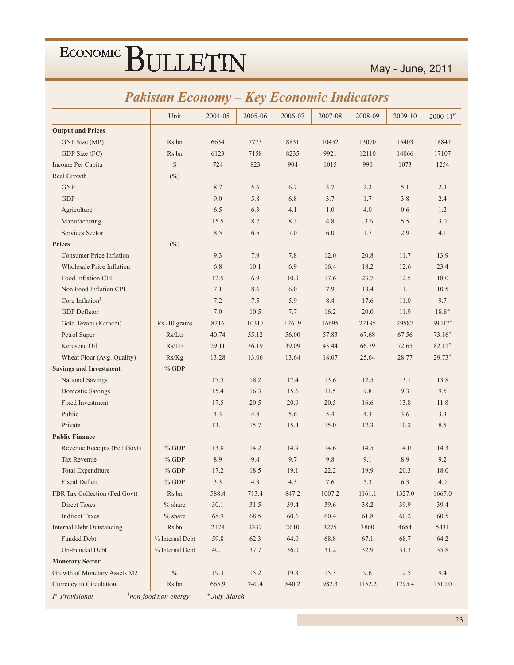|                                  | иммин Есоноту<br>пеу есоноти<br><i>Indicators</i> |         |         |         |         |         |         |              |
|----------------------------------|---------------------------------------------------|---------|---------|---------|---------|---------|---------|--------------|
|                                  | Unit                                              | 2004-05 | 2005-06 | 2006-07 | 2007-08 | 2008-09 | 2009-10 | $2000 - 11P$ |
| <b>Output and Prices</b>         |                                                   |         |         |         |         |         |         |              |
| GNP Size (MP)                    | Rs.bn                                             | 6634    | 7773    | 8831    | 10452   | 13070   | 15403   | 18847        |
| GDP Size (FC)                    | Rs.bn                                             | 6123    | 7158    | 8235    | 9921    | 12110   | 14066   | 17107        |
| Income Per Capita                | $\mathbb{S}$                                      | 724     | 823     | 904     | 1015    | 990     | 1073    | 1254         |
| Real Growth                      | $(^{0}_{0})$                                      |         |         |         |         |         |         |              |
| <b>GNP</b>                       |                                                   | 8.7     | 5.6     | 6.7     | 3.7     | 2.2     | 5.1     | 2.3          |
| <b>GDP</b>                       |                                                   | 9.0     | 5.8     | 6.8     | 3.7     | 1.7     | 3.8     | 2.4          |
| Agriculture                      |                                                   | 6.5     | 6.3     | 4.1     | 1.0     | 4.0     | 0.6     | 1.2          |
| Manufacturing                    |                                                   | 15.5    | 8.7     | 8.3     | 4.8     | $-3.6$  | 5.5     | 3.0          |
| Services Sector                  |                                                   | 8.5     | 6.5     | $7.0\,$ | 6.0     | 1.7     | 2.9     | 4.1          |
| <b>Prices</b>                    | $(\%)$                                            |         |         |         |         |         |         |              |
| <b>Consumer Price Inflation</b>  |                                                   | 9.3     | 7.9     | 7.8     | 12.0    | 20.8    | 11.7    | 13.9         |
| <b>Wholesale Price Inflation</b> |                                                   | 6.8     | 10.1    | 6.9     | 16.4    | 18.2    | 12.6    | 23.4         |
| Food Inflation CPI               |                                                   | 12.5    | 6.9     | 10.3    | 17.6    | 23.7    | 12.5    | 18.0         |
| Non Food Inflation CPI           |                                                   | 7.1     | 8.6     | 6.0     | 7.9     | 18.4    | 11.1    | 10.5         |
| Core Inflation <sup>†</sup>      |                                                   | 7.2     | 7.5     | 5.9     | 8.4     | 17.6    | 11.0    | 9.7          |
| <b>GDP</b> Deflator              |                                                   | 7.0     | 10.5    | 7.7     | 16.2    | 20.0    | 11.9    | $18.8*$      |
| Gold Tezabi (Karachi)            | Rs./10 grams                                      | 8216    | 10317   | 12619   | 16695   | 22195   | 29587   | 39017*       |
| Petrol Super                     | Rs/Ltr                                            | 40.74   | 55.12   | 56.00   | 57.83   | 67.68   | 67.56   | $73.16*$     |
| Kerosene Oil                     | Rs/Ltr                                            | 29.11   | 36.19   | 39.09   | 43.44   | 66.79   | 72.65   | $82.12*$     |
| Wheat Flour (Avg. Quality)       | Rs/Kg                                             | 13.28   | 13.06   | 13.64   | 18.07   | 25.64   | 28.77   | $29.73*$     |
| <b>Savings and Investment</b>    | $%$ GDP                                           |         |         |         |         |         |         |              |
| National Savings                 |                                                   | 17.5    | 18.2    | 17.4    | 13.6    | 12.5    | 13.1    | 13.8         |
| Domestic Savings                 |                                                   | 15.4    | 16.3    | 15.6    | 11.5    | 9.8     | 9.3     | 9.5          |
| Fixed Investment                 |                                                   | 17.5    | 20.5    | 20.9    | 20.5    | 16.6    | 13.8    | 11.8         |
| Public                           |                                                   | 4.3     | 4.8     | 5.6     | 5.4     | 4.3     | 3.6     | 3.3          |
| Private                          |                                                   | 13.1    | 15.7    | 15.4    | 15.0    | 12.3    | 10.2    | 8.5          |
| <b>Public Finance</b>            |                                                   |         |         |         |         |         |         |              |
| Revenue Receipts (Fed Govt)      | $%$ GDP                                           | 13.8    | 14.2    | 14.9    | 14.6    | 14.5    | 14.0    | 14.3         |
| Tax Revenue                      | $%$ GDP                                           | 8.9     | 9.4     | 9.7     | 9.8     | 9.1     | 8.9     | 9.2          |
| Total Expenditure                | $%$ GDP                                           | 17.2    | 18.5    | 19.1    | 22.2    | 19.9    | 20.3    | 18.0         |
| <b>Fiscal Deficit</b>            | $%$ GDP                                           | 3.3     | 4.3     | 4.3     | 7.6     | 5.3     | 6.3     | $4.0\,$      |
| FBR Tax Collection (Fed Govt)    | Rs.bn                                             | 588.4   | 713.4   | 847.2   | 1007.2  | 1161.1  | 1327.0  | 1667.0       |
| <b>Direct Taxes</b>              | $%$ share                                         | 30.1    | 31.5    | 39.4    | 39.6    | 38.2    | 39.9    | 39.4         |
| <b>Indirect Taxes</b>            | $%$ share                                         | 68.9    | 68.5    | 60.6    | 60.4    | 61.8    | 60.2    | 60.5         |
| <b>Internal Debt Outstanding</b> | Rs.bn                                             | 2178    | 2337    | 2610    | 3275    | 3860    | 4654    | 5431         |
| <b>Funded Debt</b>               | % Internal Debt                                   | 59.8    | 62.3    | 64.0    | 68.8    | 67.1    | 68.7    | 64.2         |
| Un-Funded Debt                   | % Internal Debt                                   | 40.1    | 37.7    | 36.0    | 31.2    | 32.9    | 31.3    | 35.8         |
| <b>Monetary Sector</b>           |                                                   |         |         |         |         |         |         |              |
| Growth of Monetary Assets M2     | $\%$                                              | 19.3    | 15.2    | 19.3    | 15.3    | 9.6     | 12.5    | 9.4          |
| Currency in Circulation          | Rs.bn                                             | 665.9   | 740.4   | 840.2   | 982.3   | 1152.2  | 1295.4  | 1510.0       |

### **Pakistan Economy - Key Economic Indicators**

P Provisional

*i*non-food non-energy \* July-March